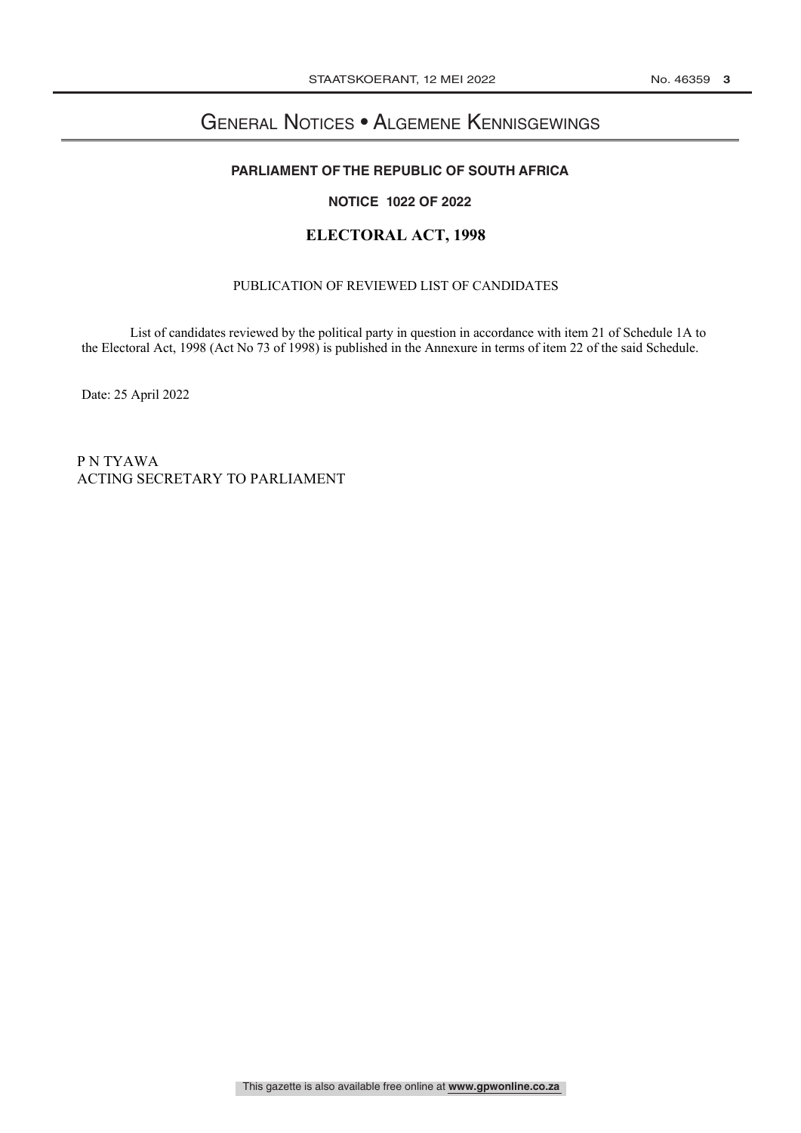# General Notices • Algemene Kennisgewings <u>GENERAL NOTICE IN DIE NATUUR VAN DIE NATUUR VAN DIE NATUUR VAN DIE NATUUR VAN DIE NATUUR VAN DIE NATUUR VAN DIE N</u>

## **PARLIAMENT OF THE REPUBLIC OF SOUTH AFRICA**

## **NOTICE 1022 OF 2022 NOTICE ? OF 2022**

## **ELECTORAL ACT, 1998**

#### PUBLICATION OF REVIEWED LIST OF CANDIDATES

List of candidates reviewed by the political party in question in accordance with item 21 of Schedule 1A to the Electoral Act, 1998 (Act No 73 of 1998) is published in the Annexure in terms of item 22 of the said Schedule.

Date: 25 April 2022

P N TYAWA ACTING SECRETARY TO PARLIAMENT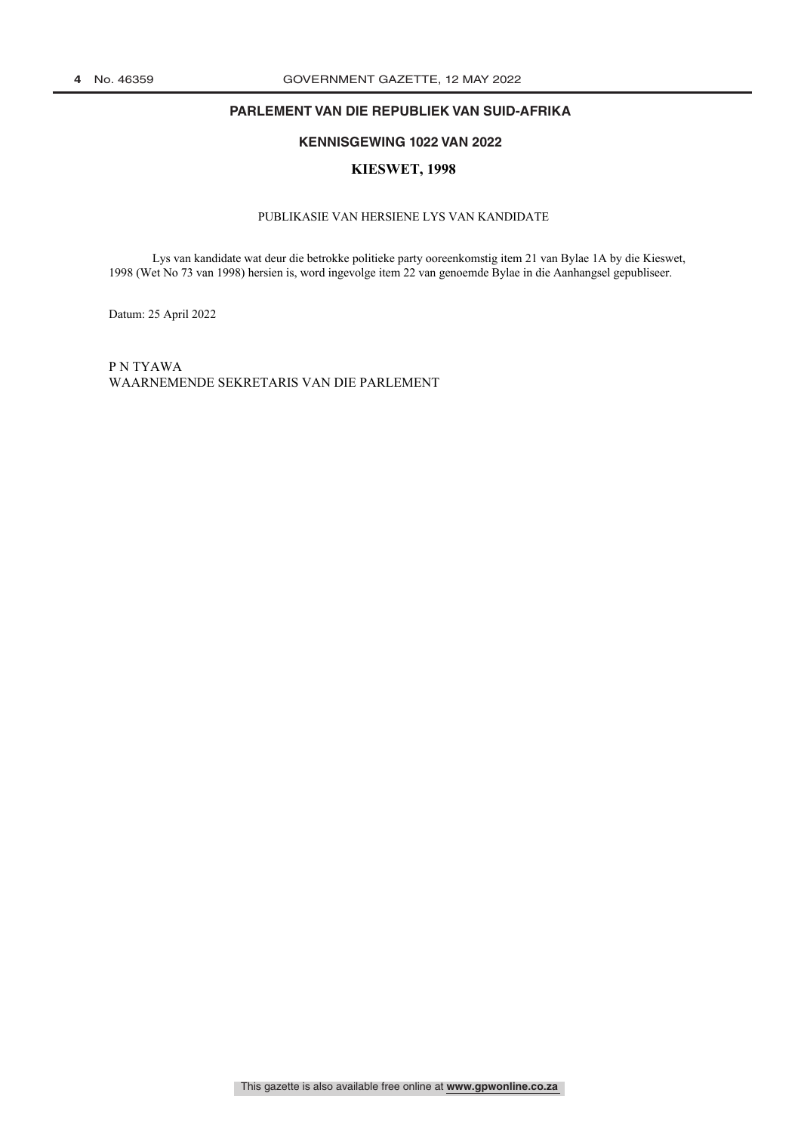## **PARLEMENT VAN DIE REPUBLIEK VAN SUID-AFRIKA**

## **KENNISGEWING 1022 VAN 2022 KENNISGEWING ? VAN 2022**

#### **KIESWET, 1998**

#### PUBLIKASIE VAN HERSIENE LYS VAN KANDIDATE

Lys van kandidate wat deur die betrokke politieke party ooreenkomstig item 21 van Bylae 1A by die Kieswet, 1998 (Wet No 73 van 1998) hersien is, word ingevolge item 22 van genoemde Bylae in die Aanhangsel gepubliseer.

Datum: 25 April 2022

P N TYAWA WAARNEMENDE SEKRETARIS VAN DIE PARLEMENT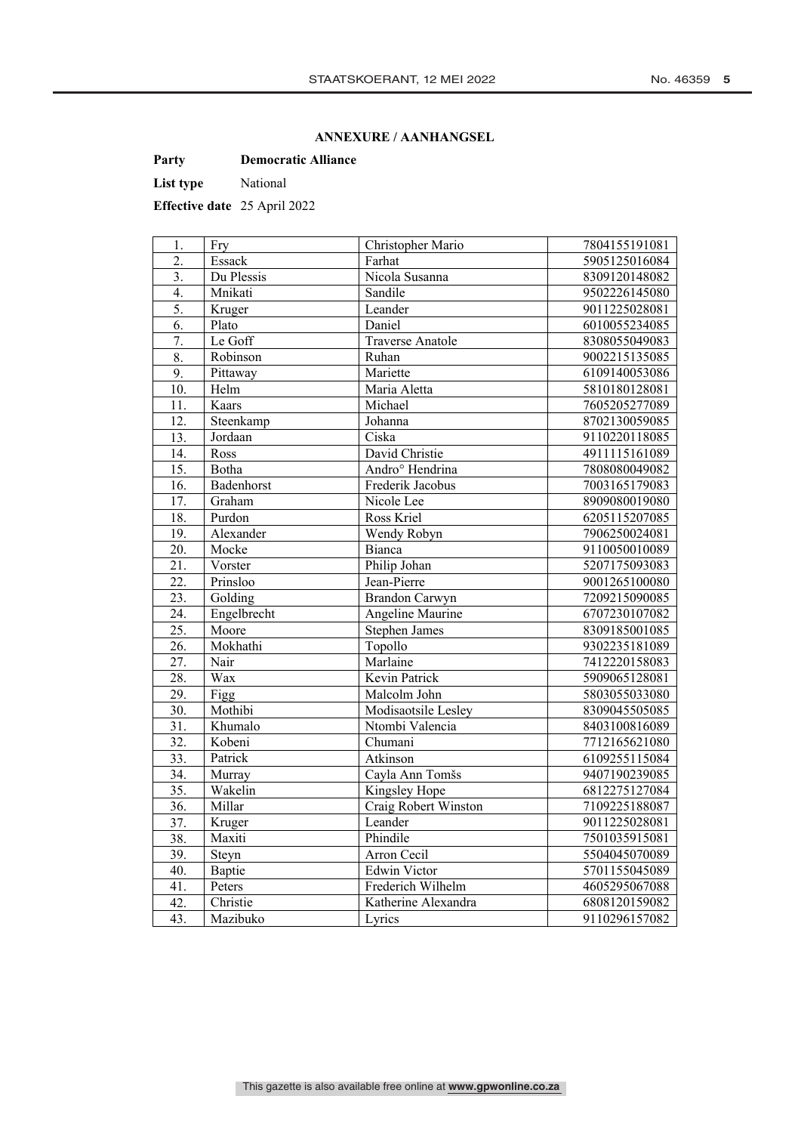### **ANNEXURE / AANHANGSEL**

**Party Democratic Alliance**

List type National

**Effective date** 25 April 2022

| 1.                | Fry         | Christopher Mario           | 7804155191081 |
|-------------------|-------------|-----------------------------|---------------|
| $\overline{2}$ .  | Essack      | Farhat                      | 5905125016084 |
| 3.                | Du Plessis  | Nicola Susanna              | 8309120148082 |
| $\overline{4}$ .  | Mnikati     | Sandile                     | 9502226145080 |
| 5.                | Kruger      | Leander                     | 9011225028081 |
| 6.                | Plato       | Daniel                      | 6010055234085 |
| 7.                | Le Goff     | <b>Traverse Anatole</b>     | 8308055049083 |
| $\overline{8}$ .  | Robinson    | Ruhan                       | 9002215135085 |
| 9.                | Pittaway    | Mariette                    | 6109140053086 |
| 10.               | Helm        | Maria Aletta                | 5810180128081 |
| 11.               | Kaars       | Michael                     | 7605205277089 |
| 12.               | Steenkamp   | Johanna                     | 8702130059085 |
| 13.               | Jordaan     | Ciska                       | 9110220118085 |
| 14.               | Ross        | David Christie              | 4911115161089 |
| 15.               | Botha       | Andro <sup>o</sup> Hendrina | 7808080049082 |
| 16.               | Badenhorst  | Frederik Jacobus            | 7003165179083 |
| 17.               | Graham      | Nicole Lee                  | 8909080019080 |
| 18.               | Purdon      | Ross Kriel                  | 6205115207085 |
| 19.               | Alexander   | Wendy Robyn                 | 7906250024081 |
| 20.               | Mocke       | Bianca                      | 9110050010089 |
| 21.               | Vorster     | Philip Johan                | 5207175093083 |
| 22.               | Prinsloo    | Jean-Pierre                 | 9001265100080 |
| 23.               | Golding     | <b>Brandon Carwyn</b>       | 7209215090085 |
| $\overline{24}$ . | Engelbrecht | Angeline Maurine            | 6707230107082 |
| 25.               | Moore       | <b>Stephen James</b>        | 8309185001085 |
| 26.               | Mokhathi    | Topollo                     | 9302235181089 |
| 27.               | Nair        | Marlaine                    | 7412220158083 |
| 28.               | Wax         | Kevin Patrick               | 5909065128081 |
| 29.               | Figg        | Malcolm John                | 5803055033080 |
| 30.               | Mothibi     | Modisaotsile Lesley         | 8309045505085 |
| 31.               | Khumalo     | Ntombi Valencia             | 8403100816089 |
| 32.               | Kobeni      | Chumani                     | 7712165621080 |
| 33.               | Patrick     | Atkinson                    | 6109255115084 |
| 34.               | Murray      | Cayla Ann Tomšs             | 9407190239085 |
| $\overline{35}$ . | Wakelin     | Kingsley Hope               | 6812275127084 |
| 36.               | Millar      | Craig Robert Winston        | 7109225188087 |
| 37.               | Kruger      | Leander                     | 9011225028081 |
| 38.               | Maxiti      | Phindile                    | 7501035915081 |
| 39.               | Steyn       | Arron Cecil                 | 5504045070089 |
| 40.               | Baptie      | <b>Edwin Victor</b>         | 5701155045089 |
| 41.               | Peters      | Frederich Wilhelm           | 4605295067088 |
| 42.               | Christie    | Katherine Alexandra         | 6808120159082 |
| 43.               | Mazibuko    | Lyrics                      | 9110296157082 |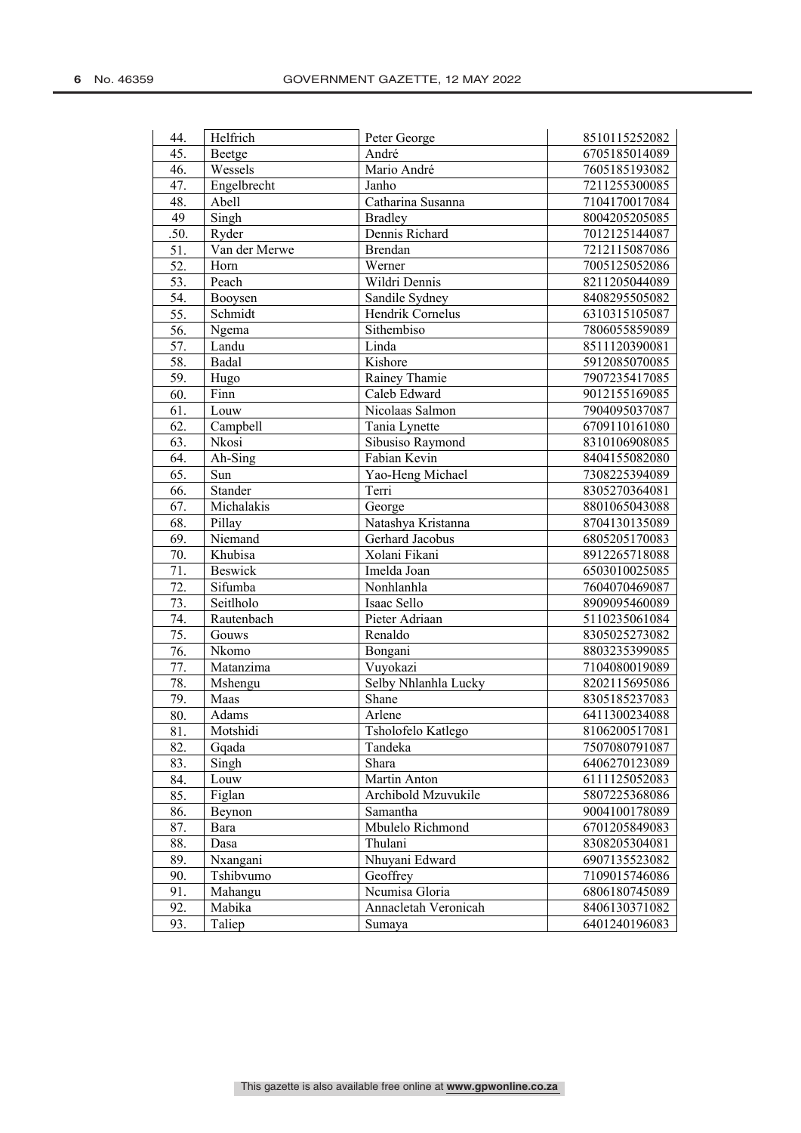| 44.               | Helfrich       | Peter George         | 8510115252082 |
|-------------------|----------------|----------------------|---------------|
| 45.               | Beetge         | André                | 6705185014089 |
| 46.               | Wessels        | Mario André          | 7605185193082 |
| 47.               | Engelbrecht    | Janho                | 7211255300085 |
| 48.               | Abell          | Catharina Susanna    | 7104170017084 |
| 49                | Singh          | <b>Bradley</b>       | 8004205205085 |
| .50.              | Ryder          | Dennis Richard       | 7012125144087 |
| 51.               | Van der Merwe  | <b>Brendan</b>       | 7212115087086 |
| $\overline{52}$ . | Horn           | Werner               | 7005125052086 |
| 53.               | Peach          | Wildri Dennis        | 8211205044089 |
| 54.               | Booysen        | Sandile Sydney       | 8408295505082 |
| 55.               | Schmidt        | Hendrik Cornelus     | 6310315105087 |
| 56.               | Ngema          | Sithembiso           | 7806055859089 |
| $\overline{57}$ . | Landu          | Linda                | 8511120390081 |
| 58.               | Badal          | Kishore              | 5912085070085 |
| 59.               | Hugo           | Rainey Thamie        | 7907235417085 |
| 60.               | Finn           | Caleb Edward         | 9012155169085 |
| 61.               | Louw           | Nicolaas Salmon      | 7904095037087 |
| 62.               | Campbell       | Tania Lynette        | 6709110161080 |
| 63.               | Nkosi          | Sibusiso Raymond     | 8310106908085 |
| 64.               | Ah-Sing        | Fabian Kevin         | 8404155082080 |
| 65.               | Sun            | Yao-Heng Michael     | 7308225394089 |
| 66.               | Stander        | Terri                | 8305270364081 |
| 67.               | Michalakis     | George               | 8801065043088 |
| 68.               | Pillay         | Natashya Kristanna   | 8704130135089 |
| 69.               | Niemand        | Gerhard Jacobus      | 6805205170083 |
| 70.               | Khubisa        | Xolani Fikani        | 8912265718088 |
| 71.               | <b>Beswick</b> | Imelda Joan          | 6503010025085 |
| 72.               | Sifumba        | Nonhlanhla           | 7604070469087 |
| 73.               | Seitlholo      | Isaac Sello          | 8909095460089 |
| 74.               | Rautenbach     | Pieter Adriaan       | 5110235061084 |
| 75.               | Gouws          | Renaldo              | 8305025273082 |
| 76.               | Nkomo          | Bongani              | 8803235399085 |
| 77.               | Matanzima      | Vuyokazi             | 7104080019089 |
| 78.               | Mshengu        | Selby Nhlanhla Lucky | 8202115695086 |
| 79.               | Maas           | Shane                | 8305185237083 |
| 80.               | Adams          | Arlene               | 6411300234088 |
| $\overline{81}$ . | Motshidi       | Tsholofelo Katlego   | 8106200517081 |
| 82.               | Gqada          | Tandeka              | 7507080791087 |
| 83.               | Singh          | Shara                | 6406270123089 |
| 84.               | Louw           | Martin Anton         | 6111125052083 |
| 85.               | Figlan         | Archibold Mzuvukile  | 5807225368086 |
| 86.               | Beynon         | Samantha             | 9004100178089 |
| 87.               | Bara           | Mbulelo Richmond     | 6701205849083 |
| 88.               | Dasa           | Thulani              | 8308205304081 |
| 89.               | Nxangani       | Nhuyani Edward       | 6907135523082 |
| 90.               | Tshibvumo      | Geoffrey             | 7109015746086 |
| 91.               | Mahangu        | Ncumisa Gloria       | 6806180745089 |
| 92.               | Mabika         | Annacletah Veronicah | 8406130371082 |
| 93.               | Taliep         | Sumaya               | 6401240196083 |